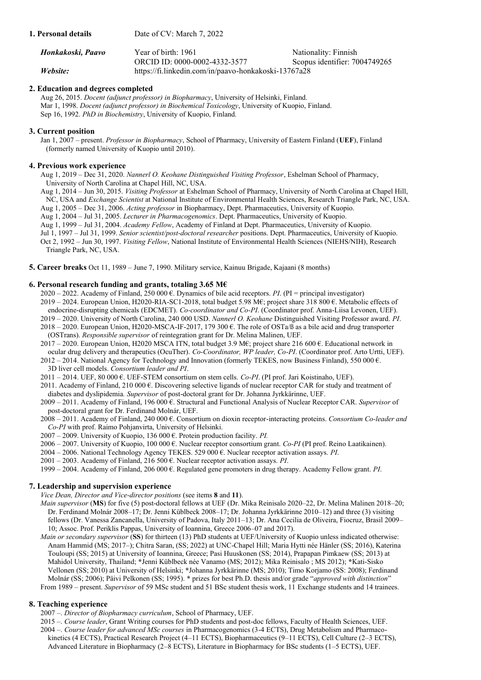| Honkakoski, Paavo | Year of birth: 1961                                  | Nationality: Finnish          |
|-------------------|------------------------------------------------------|-------------------------------|
|                   | ORCID ID: 0000-0002-4332-3577                        | Scopus identifier: 7004749265 |
| Website:          | https://fi.linkedin.com/in/paavo-honkakoski-13767a28 |                               |

# **2. Education and degrees completed**

**1. Personal details** Date of CV: March 7, 2022

Aug 26, 2015. *Docent (adjunct professor) in Biopharmacy*, University of Helsinki, Finland. Mar 1, 1998. *Docent (adjunct professor) in Biochemical Toxicology*, University of Kuopio, Finland. Sep 16, 1992. *PhD in Biochemistry*, University of Kuopio, Finland.

# **3. Current position**

Jan 1, 2007 – present. *Professor in Biopharmacy*, School of Pharmacy, University of Eastern Finland (**UEF**), Finland (formerly named University of Kuopio until 2010).

# **4. Previous work experience**

Aug 1, 2019 – Dec 31, 2020. *Nannerl O. Keohane Distinguished Visiting Professor*, Eshelman School of Pharmacy, University of North Carolina at Chapel Hill, NC, USA.

Aug 1, 2014 – Jun 30, 2015. *Visiting Professor* at Eshelman School of Pharmacy, University of North Carolina at Chapel Hill, NC, USA and *Exchange Scientist* at National Institute of Environmental Health Sciences, Research Triangle Park, NC, USA. Aug 1, 2005 – Dec 31, 2006. *Acting professor* in Biopharmacy, Dept. Pharmaceutics, University of Kuopio.

Aug 1, 2004 – Jul 31, 2005. *Lecturer in Pharmacogenomics*. Dept. Pharmaceutics, University of Kuopio.

Aug 1, 1999 – Jul 31, 2004. *Academy Fellow*, Academy of Finland at Dept. Pharmaceutics, University of Kuopio.

Jul 1, 1997 – Jul 31, 1999. *Senior scientist/post-doctoral researcher* positions. Dept. Pharmaceutics, University of Kuopio. Oct 2, 1992 – Jun 30, 1997. *Visiting Fellow*, National Institute of Environmental Health Sciences (NIEHS/NIH), Research Triangle Park, NC, USA.

**5. Career breaks** Oct 11, 1989 – June 7, 1990. Military service, Kainuu Brigade, Kajaani (8 months)

# **6. Personal research funding and grants, totaling 3.65 M€**

2020 – 2022. Academy of Finland, 250 000 €. Dynamics of bile acid receptors. *PI*. (PI = principal investigator) 2019 – 2024. European Union, H2020-RIA-SC1-2018, total budget 5.98 M€; project share 318 800 €. Metabolic effects of

endocrine-disrupting chemicals (EDCMET). *Co-coordinator and Co-PI*. (Coordinator prof. Anna-Liisa Levonen, UEF).

2019 – 2020. University of North Carolina, 240 000 USD. *Nannerl O. Keohane* Distinguished Visiting Professor award. *PI*.  $2018 - 2020$ . European Union, H2020-MSCA-IF-2017, 179 300 €. The role of OSTa/ $\beta$  as a bile acid and drug transporter

 (OSTrans). *Responsible supervisor* of reintegration grant for Dr. Melina Malinen, UEF. 2017 – 2020. European Union, H2020 MSCA ITN, total budget 3.9 M€; project share 216 600 €. Educational network in

ocular drug delivery and therapeutics (OcuTher). *Co-Coordinator, WP leader, Co-PI*. (Coordinator prof. Arto Urtti, UEF).

 $2012 - 2014$ . National Agency for Technology and Innovation (formerly TEKES, now Business Finland), 550 000 €. 3D liver cell models. *Consortium leader and PI*.

2011 – 2014. UEF, 80 000 €. UEF-STEM consortium on stem cells. *Co-PI*. (PI prof. Jari Koistinaho, UEF).

2011. Academy of Finland, 210 000 €. Discovering selective ligands of nuclear receptor CAR for study and treatment of diabetes and dyslipidemia*. Supervisor* of post-doctoral grant for Dr. Johanna Jyrkkärinne, UEF.

2009 – 2011. Academy of Finland, 196 000 €. Structural and Functional Analysis of Nuclear Receptor CAR. *Supervisor* of post-doctoral grant for Dr. Ferdinand Molnár, UEF.

2008 – 2011. Academy of Finland, 240 000 €. Consortium on dioxin receptor-interacting proteins. *Consortium Co-leader and Co-PI* with prof. Raimo Pohjanvirta, University of Helsinki.

- 2007 2009. University of Kuopio, 136 000 €. Protein production facility. *PI.*
- 2006 2007. University of Kuopio, 100 000 €. Nuclear receptor consortium grant. *Co-PI* (PI prof. Reino Laatikainen).
- 2004 2006. National Technology Agency TEKES. 529 000 €. Nuclear receptor activation assays. *PI*.

2001 – 2003. Academy of Finland, 216 500 €. Nuclear receptor activation assays. *PI*.

1999 – 2004. Academy of Finland, 206 000 €. Regulated gene promoters in drug therapy. Academy Fellow grant. *PI*.

# **7. Leadership and supervision experience**

*Vice Dean, Director and Vice-director positions* (see items **8** and **11**).

- *Main supervisor* (**MS**) for five (5) post-doctoral fellows at UEF (Dr. Mika Reinisalo 2020–22, Dr. Melina Malinen 2018–20; Dr. Ferdinand Molnár 2008–17; Dr. Jenni Küblbeck 2008–17; Dr. Johanna Jyrkkärinne 2010–12) and three (3) visiting fellows (Dr. Vanessa Zancanella, University of Padova, Italy 2011–13; Dr. Ana Cecilia de Oliveira, Fiocruz, Brasil 2009– 10; Assoc. Prof. Periklis Pappas, University of Ioannina, Greece 2006–07 and 2017).
- *Main or secondary supervisor* (**SS**) for thirteen (13) PhD students at UEF/University of Kuopio unless indicated otherwise: Anam Hammid (MS; 2017–); Chitra Saran, (SS; 2022) at UNC-Chapel Hill; Maria Hytti née Hänler (SS; 2016), Katerina Touloupi (SS; 2015) at University of Ioannina, Greece; Pasi Huuskonen (SS; 2014), Prapapan Pimkaew (SS; 2013) at Mahidol University, Thailand; **\***Jenni Küblbeck née Vanamo (MS; 2012); Mika Reinisalo ; MS 2012); **\***Kati-Sisko Vellonen (SS; 2010) at University of Helsinki; **\***Johanna Jyrkkärinne (MS; 2010); Timo Korjamo (SS: 2008); Ferdinand Molnár (SS; 2006); Päivi Pelkonen (SS; 1995). **\*** prizes for best Ph.D. thesis and/or grade "*approved with distinction*" From 1989 – present. *Supervisor* of 59 MSc student and 51 BSc student thesis work, 11 Exchange students and 14 trainees.

# **8. Teaching experience**

2007 –. *Director of Biopharmacy curriculum*, School of Pharmacy, UEF.

2015 –. *Course leader*, Grant Writing courses for PhD students and post-doc fellows, Faculty of Health Sciences, UEF. 2004 –. *Course leader for advanced MSc courses* in Pharmacogenomics (3-4 ECTS), Drug Metabolism and Pharmaco kinetics (4 ECTS), Practical Research Project (4–11 ECTS), Biopharmaceutics (9–11 ECTS), Cell Culture (2–3 ECTS), Advanced Literature in Biopharmacy (2–8 ECTS), Literature in Biopharmacy for BSc students (1–5 ECTS), UEF.